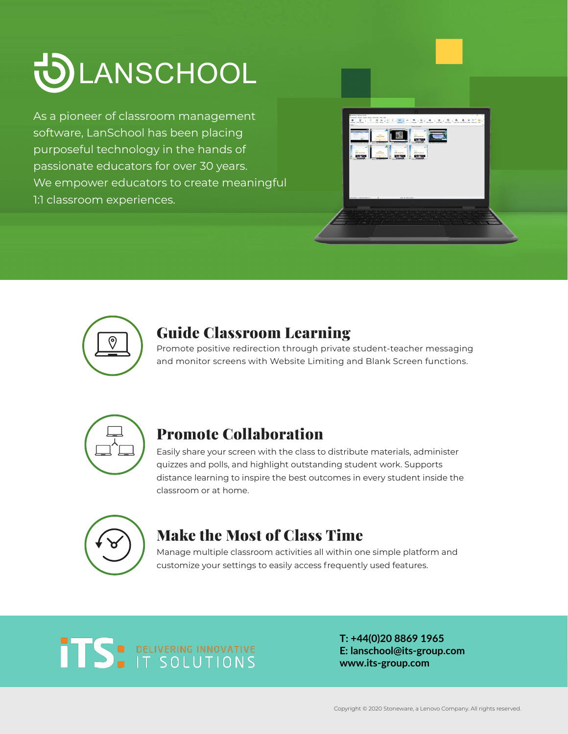

As a pioneer of classroom management software, LanSchool has been placing purposeful technology in the hands of passionate educators for over 30 years. We empower educators to create meaningful 1:1 classroom experiences.





### Guide Classroom Learning

Promote positive redirection through private student-teacher messaging and monitor screens with Website Limiting and Blank Screen functions.



## Promote Collaboration

Easily share your screen with the class to distribute materials, administer quizzes and polls, and highlight outstanding student work. Supports distance learning to inspire the best outcomes in every student inside the classroom or at home.



## Make the Most of Class Time

Manage multiple classroom activities all within one simple platform and customize your settings to easily access frequently used features.

# **TS** DELIVERING INNOVATIVE

**T: +44(0)20 8869 1965 E: lanschool@its-group.com www.its-group.com**